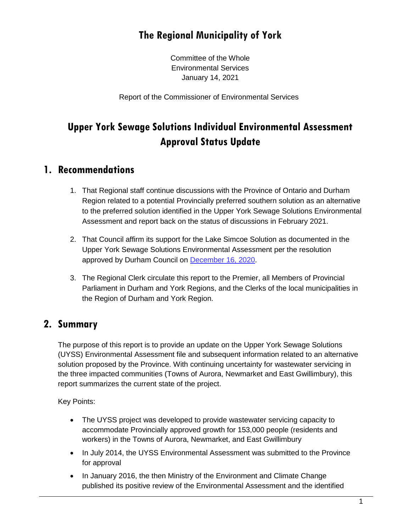# **The Regional Municipality of York**

Committee of the Whole Environmental Services January 14, 2021

Report of the Commissioner of Environmental Services

# **Upper York Sewage Solutions Individual Environmental Assessment Approval Status Update**

### **1. Recommendations**

- 1. That Regional staff continue discussions with the Province of Ontario and Durham Region related to a potential Provincially preferred southern solution as an alternative to the preferred solution identified in the Upper York Sewage Solutions Environmental Assessment and report back on the status of discussions in February 2021.
- 2. That Council affirm its support for the Lake Simcoe Solution as documented in the Upper York Sewage Solutions Environmental Assessment per the resolution approved by Durham Council on [December](https://calendar.durham.ca/meetings/Detail/2020-12-16-0930-Regional-Council-Meeting/af85c72e-f9df-4bcb-8daa-ac8d00c09fb8) 16, 2020.
- 3. The Regional Clerk circulate this report to the Premier, all Members of Provincial Parliament in Durham and York Regions, and the Clerks of the local municipalities in the Region of Durham and York Region.

### **2. Summary**

The purpose of this report is to provide an update on the Upper York Sewage Solutions (UYSS) Environmental Assessment file and subsequent information related to an alternative solution proposed by the Province. With continuing uncertainty for wastewater servicing in the three impacted communities (Towns of Aurora, Newmarket and East Gwillimbury), this report summarizes the current state of the project.

Key Points:

- The UYSS project was developed to provide wastewater servicing capacity to accommodate Provincially approved growth for 153,000 people (residents and workers) in the Towns of Aurora, Newmarket, and East Gwillimbury
- In July 2014, the UYSS Environmental Assessment was submitted to the Province for approval
- In January 2016, the then Ministry of the Environment and Climate Change published its positive review of the Environmental Assessment and the identified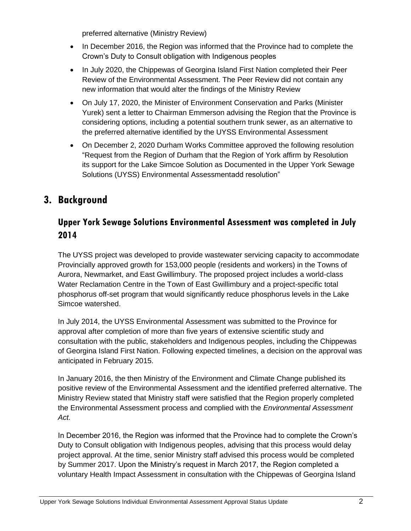preferred alternative (Ministry Review)

- In December 2016, the Region was informed that the Province had to complete the Crown's Duty to Consult obligation with Indigenous peoples
- In July 2020, the Chippewas of Georgina Island First Nation completed their Peer Review of the Environmental Assessment. The Peer Review did not contain any new information that would alter the findings of the Ministry Review
- On July 17, 2020, the Minister of Environment Conservation and Parks (Minister Yurek) sent a letter to Chairman Emmerson advising the Region that the Province is considering options, including a potential southern trunk sewer, as an alternative to the preferred alternative identified by the UYSS Environmental Assessment
- On December 2, 2020 Durham Works Committee approved the following resolution "Request from the Region of Durham that the Region of York affirm by Resolution its support for the Lake Simcoe Solution as Documented in the Upper York Sewage Solutions (UYSS) Environmental Assessmentadd resolution"

## **3. Background**

### **Upper York Sewage Solutions Environmental Assessment was completed in July 2014**

The UYSS project was developed to provide wastewater servicing capacity to accommodate Provincially approved growth for 153,000 people (residents and workers) in the Towns of Aurora, Newmarket, and East Gwillimbury. The proposed project includes a world-class Water Reclamation Centre in the Town of East Gwillimbury and a project-specific total phosphorus off-set program that would significantly reduce phosphorus levels in the Lake Simcoe watershed.

In July 2014, the UYSS Environmental Assessment was submitted to the Province for approval after completion of more than five years of extensive scientific study and consultation with the public, stakeholders and Indigenous peoples, including the Chippewas of Georgina Island First Nation. Following expected timelines, a decision on the approval was anticipated in February 2015.

In January 2016, the then Ministry of the Environment and Climate Change published its positive review of the Environmental Assessment and the identified preferred alternative. The Ministry Review stated that Ministry staff were satisfied that the Region properly completed the Environmental Assessment process and complied with the *Environmental Assessment Act.*

In December 2016, the Region was informed that the Province had to complete the Crown's Duty to Consult obligation with Indigenous peoples, advising that this process would delay project approval. At the time, senior Ministry staff advised this process would be completed by Summer 2017. Upon the Ministry's request in March 2017, the Region completed a voluntary Health Impact Assessment in consultation with the Chippewas of Georgina Island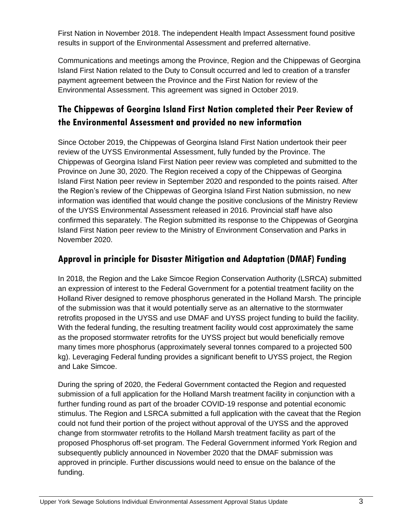First Nation in November 2018. The independent Health Impact Assessment found positive results in support of the Environmental Assessment and preferred alternative.

Communications and meetings among the Province, Region and the Chippewas of Georgina Island First Nation related to the Duty to Consult occurred and led to creation of a transfer payment agreement between the Province and the First Nation for review of the Environmental Assessment. This agreement was signed in October 2019.

## **The Chippewas of Georgina Island First Nation completed their Peer Review of the Environmental Assessment and provided no new information**

Since October 2019, the Chippewas of Georgina Island First Nation undertook their peer review of the UYSS Environmental Assessment, fully funded by the Province. The Chippewas of Georgina Island First Nation peer review was completed and submitted to the Province on June 30, 2020. The Region received a copy of the Chippewas of Georgina Island First Nation peer review in September 2020 and responded to the points raised. After the Region's review of the Chippewas of Georgina Island First Nation submission, no new information was identified that would change the positive conclusions of the Ministry Review of the UYSS Environmental Assessment released in 2016. Provincial staff have also confirmed this separately. The Region submitted its response to the Chippewas of Georgina Island First Nation peer review to the Ministry of Environment Conservation and Parks in November 2020.

### **Approval in principle for Disaster Mitigation and Adaptation (DMAF) Funding**

In 2018, the Region and the Lake Simcoe Region Conservation Authority (LSRCA) submitted an expression of interest to the Federal Government for a potential treatment facility on the Holland River designed to remove phosphorus generated in the Holland Marsh. The principle of the submission was that it would potentially serve as an alternative to the stormwater retrofits proposed in the UYSS and use DMAF and UYSS project funding to build the facility. With the federal funding, the resulting treatment facility would cost approximately the same as the proposed stormwater retrofits for the UYSS project but would beneficially remove many times more phosphorus (approximately several tonnes compared to a projected 500 kg). Leveraging Federal funding provides a significant benefit to UYSS project, the Region and Lake Simcoe.

During the spring of 2020, the Federal Government contacted the Region and requested submission of a full application for the Holland Marsh treatment facility in conjunction with a further funding round as part of the broader COVID-19 response and potential economic stimulus. The Region and LSRCA submitted a full application with the caveat that the Region could not fund their portion of the project without approval of the UYSS and the approved change from stormwater retrofits to the Holland Marsh treatment facility as part of the proposed Phosphorus off-set program. The Federal Government informed York Region and subsequently publicly announced in November 2020 that the DMAF submission was approved in principle. Further discussions would need to ensue on the balance of the funding.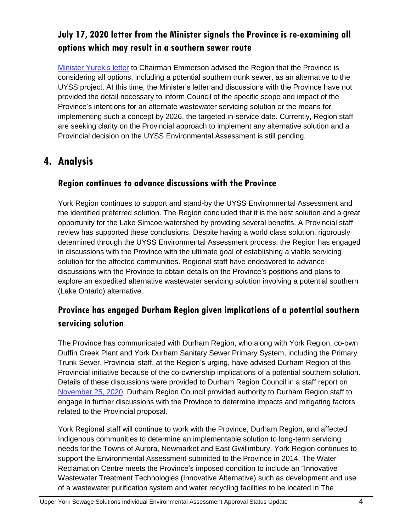## **July 17, 2020 letter from the Minister signals the Province is re-examining all options which may result in a southern sewer route**

[Minister Yurek's letter](https://yorkpublishing.escribemeetings.com/filestream.ashx?DocumentId=16833) to Chairman Emmerson advised the Region that the Province is considering all options, including a potential southern trunk sewer, as an alternative to the UYSS project. At this time, the Minister's letter and discussions with the Province have not provided the detail necessary to inform Council of the specific scope and impact of the Province's intentions for an alternate wastewater servicing solution or the means for implementing such a concept by 2026, the targeted in-service date. Currently, Region staff are seeking clarity on the Provincial approach to implement any alternative solution and a Provincial decision on the UYSS Environmental Assessment is still pending.

## **4. Analysis**

### **Region continues to advance discussions with the Province**

York Region continues to support and stand-by the UYSS Environmental Assessment and the identified preferred solution. The Region concluded that it is the best solution and a great opportunity for the Lake Simcoe watershed by providing several benefits. A Provincial staff review has supported these conclusions. Despite having a world class solution, rigorously determined through the UYSS Environmental Assessment process, the Region has engaged in discussions with the Province with the ultimate goal of establishing a viable servicing solution for the affected communities. Regional staff have endeavored to advance discussions with the Province to obtain details on the Province's positions and plans to explore an expedited alternative wastewater servicing solution involving a potential southern (Lake Ontario) alternative.

### **Province has engaged Durham Region given implications of a potential southern servicing solution**

The Province has communicated with Durham Region, who along with York Region, co-own Duffin Creek Plant and York Durham Sanitary Sewer Primary System, including the Primary Trunk Sewer. Provincial staff, at the Region's urging, have advised Durham Region of this Provincial initiative because of the co-ownership implications of a potential southern solution. Details of these discussions were provided to Durham Region Council in a staff report on [November 25, 2020.](https://icreate7.esolutionsgroup.ca/11111068_DurhamRegion/en/regional-government/resources/Documents/Council/Reports/2020-Committee-Reports/Works/2020-W-50.pdf) Durham Region Council provided authority to Durham Region staff to engage in further discussions with the Province to determine impacts and mitigating factors related to the Provincial proposal.

York Regional staff will continue to work with the Province, Durham Region, and affected Indigenous communities to determine an implementable solution to long-term servicing needs for the Towns of Aurora, Newmarket and East Gwillimbury. York Region continues to support the Environmental Assessment submitted to the Province in 2014. The Water Reclamation Centre meets the Province's imposed condition to include an "Innovative Wastewater Treatment Technologies (Innovative Alternative) such as development and use of a wastewater purification system and water recycling facilities to be located in The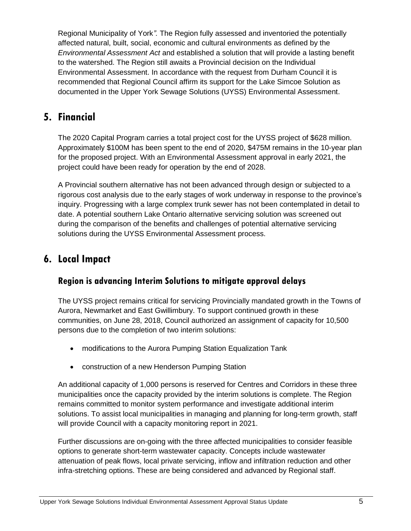Regional Municipality of York*".* The Region fully assessed and inventoried the potentially affected natural, built, social, economic and cultural environments as defined by the *Environmental Assessment Act* and established a solution that will provide a lasting benefit to the watershed. The Region still awaits a Provincial decision on the Individual Environmental Assessment. In accordance with the request from Durham Council it is recommended that Regional Council affirm its support for the Lake Simcoe Solution as documented in the Upper York Sewage Solutions (UYSS) Environmental Assessment.

## **5. Financial**

The 2020 Capital Program carries a total project cost for the UYSS project of \$628 million. Approximately \$100M has been spent to the end of 2020, \$475M remains in the 10-year plan for the proposed project. With an Environmental Assessment approval in early 2021, the project could have been ready for operation by the end of 2028.

A Provincial southern alternative has not been advanced through design or subjected to a rigorous cost analysis due to the early stages of work underway in response to the province's inquiry. Progressing with a large complex trunk sewer has not been contemplated in detail to date. A potential southern Lake Ontario alternative servicing solution was screened out during the comparison of the benefits and challenges of potential alternative servicing solutions during the UYSS Environmental Assessment process.

## **6. Local Impact**

### **Region is advancing Interim Solutions to mitigate approval delays**

The UYSS project remains critical for servicing Provincially mandated growth in the Towns of Aurora, Newmarket and East Gwillimbury. To support continued growth in these communities, on June 28, 2018, Council authorized an assignment of capacity for 10,500 persons due to the completion of two interim solutions:

- modifications to the Aurora Pumping Station Equalization Tank
- construction of a new Henderson Pumping Station

An additional capacity of 1,000 persons is reserved for Centres and Corridors in these three municipalities once the capacity provided by the interim solutions is complete. The Region remains committed to monitor system performance and investigate additional interim solutions. To assist local municipalities in managing and planning for long-term growth, staff will provide Council with a capacity monitoring report in 2021.

Further discussions are on-going with the three affected municipalities to consider feasible options to generate short-term wastewater capacity. Concepts include wastewater attenuation of peak flows, local private servicing, inflow and infiltration reduction and other infra-stretching options. These are being considered and advanced by Regional staff.